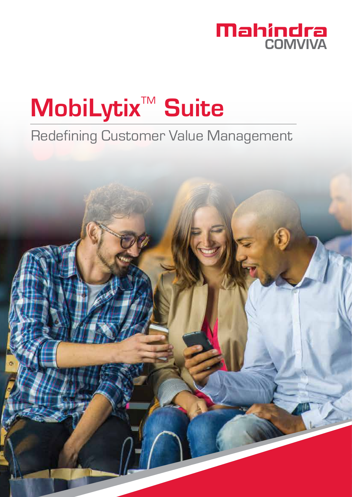

# MobiLytix<sup>™</sup> Suite

# Redefining Customer Value Management

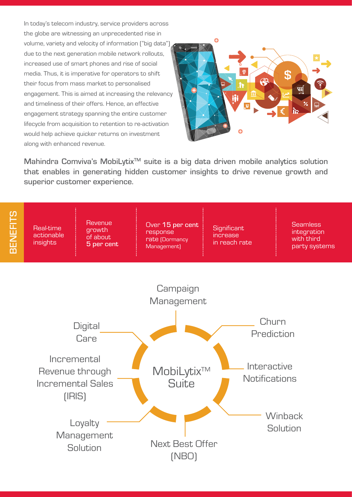In today's telecom industry, service providers across the globe are witnessing an unprecedented rise in volume, variety and velocity of information ("big data") due to the next generation mobile network rollouts, increased use of smart phones and rise of social media. Thus, it is imperative for operators to shift their focus from mass market to personalised engagement. This is aimed at increasing the relevancy and timeliness of their offers. Hence, an effective engagement strategy spanning the entire customer lifecycle from acquisition to retention to re-activation would help achieve quicker returns on investment along with enhanced revenue.



Mahindra Comviva's MobiLytix<sup>™</sup> suite is a big data driven mobile analytics solution that enables in generating hidden customer insights to drive revenue growth and superior customer experience.

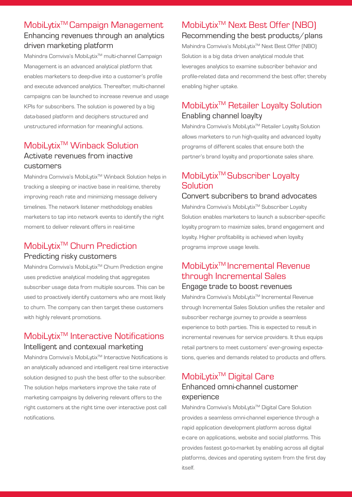## MobiLytix<sup>™</sup>Campaign Management Enhancing revenues through an analytics driven marketing platform

Mahindra Comviva's MobiLytix<sup>™</sup> multi-channel Campaign Management is an advanced analytical platform that enables marketers to deep-dive into a customer's profile and execute advanced analytics. Thereafter, multi-channel campaigns can be launched to increase revenue and usage KPIs for subscribers. The solution is powered by a big data-based platform and deciphers structured and unstructured information for meaningful actions.

### MobiLytix<sup>™</sup> Winback Solution Activate revenues from inactive customers

Mahindra Comviva's MobiLytix<sup>™</sup> Winback Solution helps in tracking a sleeping or inactive base in real-time, thereby improving reach rate and minimizing message delivery timelines. The network listener methodology enables marketers to tap into network events to identify the right moment to deliver relevant offers in real-time

# MobiLytixTM Churn Prediction Predicting risky customers

Mahindra Comviva's MobiLytix<sup>™</sup> Churn Prediction engine uses predictive analytical modeling that aggregates subscriber usage data from multiple sources. This can be used to proactively identify customers who are most likely to churn. The company can then target these customers with highly relevant promotions.

# MobiLytix<sup>™</sup> Interactive Notifications Intelligent and contexual marketing

Mahindra Comviva's MobiLytix<sup>™</sup> Interactive Notifications is an analytically advanced and intelligent real time interactive solution designed to push the best offer to the subscriber. The solution helps marketers improve the take rate of marketing campaigns by delivering relevant offers to the right customers at the right time over interactive post call notifications.

## MobiLytix<sup>™</sup> Next Best Offer (NBO) Recommending the best products/plans

Mahindra Comviva's MobiLytix<sup>™</sup> Next Best Offer (NBO) Solution is a big data driven analytical module that leverages analytics to examine subscriber behavior and profile-related data and recommend the best offer, thereby enabling higher uptake.

# MobiLytix<sup>™</sup> Retailer Loyalty Solution Enabling channel loaylty

Mahindra Comviva's MobiLvtix™ Retailer Loyalty Solution allows marketers to run high-quality and advanced loyalty programs of different scales that ensure both the partner's brand loyalty and proportionate sales share.

### MobiLytix<sup>™</sup> Subscriber Loyalty **Solution**

#### Convert subcribers to brand advocates

Mahindra Comviva's MobiLytix<sup>™</sup> Subscriber Loyalty Solution enables marketers to launch a subscriber-specific loyalty program to maximize sales, brand engagement and loyalty. Higher profitability is achieved when loyalty programs improve usage levels.

#### MobiLytix<sup>™</sup> Incremental Revenue through Incremental Sales Engage trade to boost revenues

Mahindra Comviva's MobiLytix<sup>™</sup> Incremental Revenue through Incremental Sales Solution unifies the retailer and subscriber recharge journey to provide a seamless experience to both parties. This is expected to result in incremental revenues for service providers. It thus equips retail partners to meet customers' ever-growing expectations, queries and demands related to products and offers.

# MobiLytix<sup>™</sup> Digital Care Enhanced omni-channel customer experience

Mahindra Comviva's MobiLytix<sup>™</sup> Digital Care Solution provides a seamless omni-channel experience through a rapid application development platform across digital e-care on applications, website and social platforms. This provides fastest go-to-market by enabling across all digital platforms, devices and operating system from the first day itself.